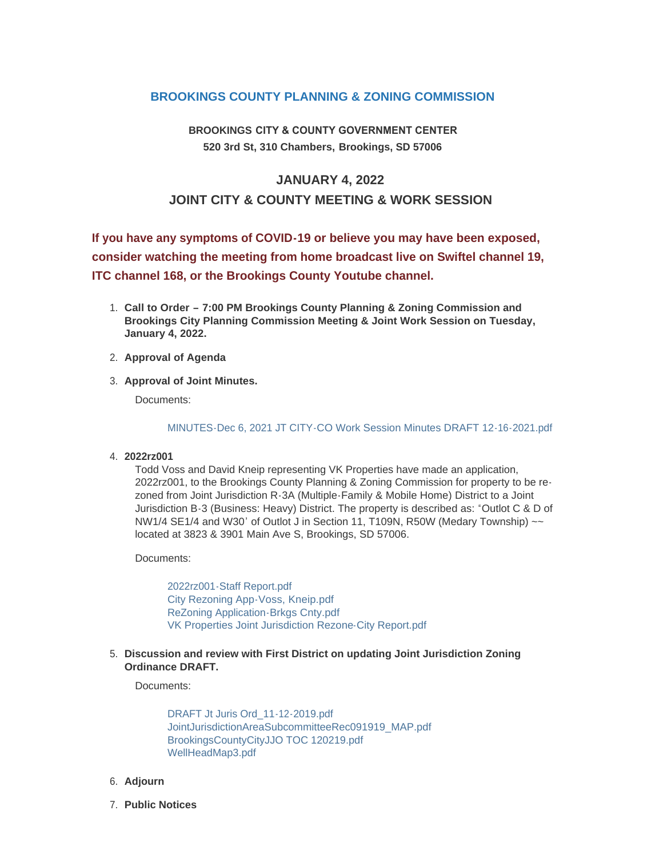## **BROOKINGS COUNTY PLANNING & ZONING COMMISSION**

**BROOKINGS CITY & COUNTY GOVERNMENT CENTER 520 3rd St, 310 Chambers, Brookings, SD 57006**

## **JANUARY 4, 2022 JOINT CITY & COUNTY MEETING & WORK SESSION**

**If you have any symptoms of COVID-19 or believe you may have been exposed, consider watching the meeting from home broadcast live on Swiftel channel 19, ITC channel 168, or the Brookings County Youtube channel.**

- **Call to Order – 7:00 PM Brookings County Planning & Zoning Commission and**  1. **Brookings City Planning Commission Meeting & Joint Work Session on Tuesday, January 4, 2022.**
- **Approval of Agenda** 2.
- **Approval of Joint Minutes.** 3.

Documents:

[MINUTES-Dec 6, 2021 JT CITY-CO Work Session Minutes DRAFT 12-16-2021.pdf](http://sd-brookingscounty2.civicplus.com/AgendaCenter/ViewFile/Item/11677?fileID=9825)

**2022rz001** 4.

Todd Voss and David Kneip representing VK Properties have made an application, 2022rz001, to the Brookings County Planning & Zoning Commission for property to be rezoned from Joint Jurisdiction R-3A (Multiple-Family & Mobile Home) District to a Joint Jurisdiction B-3 (Business: Heavy) District. The property is described as: "Outlot C & D of NW1/4 SE1/4 and W30' of Outlot J in Section 11, T109N, R50W (Medary Township)  $\sim$ located at 3823 & 3901 Main Ave S, Brookings, SD 57006.

Documents:

[2022rz001-Staff Report.pdf](http://sd-brookingscounty2.civicplus.com/AgendaCenter/ViewFile/Item/11678?fileID=9841) [City Rezoning App-Voss, Kneip.pdf](http://sd-brookingscounty2.civicplus.com/AgendaCenter/ViewFile/Item/11678?fileID=9842) [ReZoning Application-Brkgs Cnty.pdf](http://sd-brookingscounty2.civicplus.com/AgendaCenter/ViewFile/Item/11678?fileID=9843) [VK Properties Joint Jurisdiction Rezone-City Report.pdf](http://sd-brookingscounty2.civicplus.com/AgendaCenter/ViewFile/Item/11678?fileID=9844)

**Discussion and review with First District on updating Joint Jurisdiction Zoning**  5. **Ordinance DRAFT.**

Documents:

[DRAFT Jt Juris Ord\\_11-12-2019.pdf](http://sd-brookingscounty2.civicplus.com/AgendaCenter/ViewFile/Item/11679?fileID=9826) [JointJurisdictionAreaSubcommitteeRec091919\\_MAP.pdf](http://sd-brookingscounty2.civicplus.com/AgendaCenter/ViewFile/Item/11679?fileID=9827) [BrookingsCountyCityJJO TOC 120219.pdf](http://sd-brookingscounty2.civicplus.com/AgendaCenter/ViewFile/Item/11679?fileID=9828) [WellHeadMap3.pdf](http://sd-brookingscounty2.civicplus.com/AgendaCenter/ViewFile/Item/11679?fileID=9829)

- **Adjourn** 6.
- **Public Notices** 7.